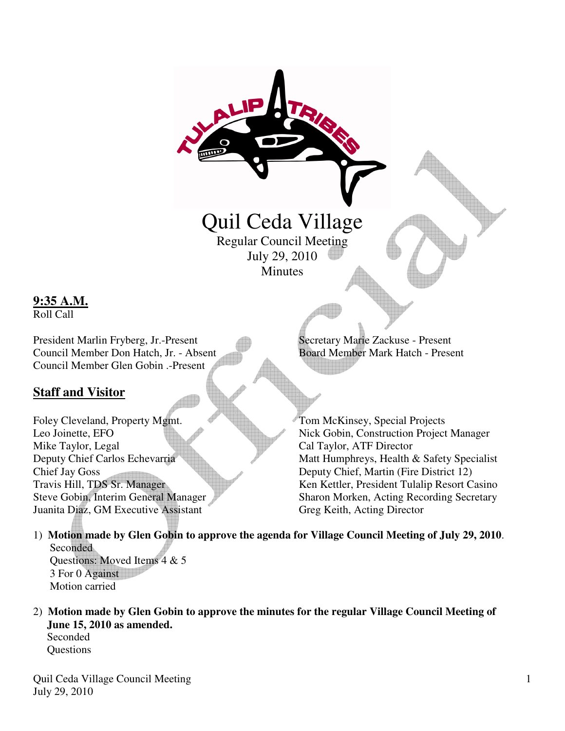# Quil Ceda Village Regular Council Meeting

July 29, 2010 **Minutes** 

## **9:35 A.M.**

Roll Call

President Marlin Fryberg, Jr.-Present Secretary Marie Zackuse - Present Council Member Don Hatch, Jr. - Absent Board Member Mark Hatch - Present Council Member Glen Gobin .-Present

## **Staff and Visitor**

Foley Cleveland, Property Mgmt. Tom McKinsey, Special Projects Mike Taylor, Legal Cal Taylor, ATF Director Chief Jay Goss Deputy Chief, Martin (Fire District 12) Juanita Diaz, GM Executive Assistant Greg Keith, Acting Director

Leo Joinette, EFO Nick Gobin, Construction Project Manager Deputy Chief Carlos Echevarria Matt Humphreys, Health & Safety Specialist Travis Hill, TDS Sr. Manager Ken Kettler, President Tulalip Resort Casino Steve Gobin, Interim General Manager Sharon Morken, Acting Recording Secretary

- 1) **Motion made by Glen Gobin to approve the agenda for Village Council Meeting of July 29, 2010**. **Seconded** Questions: Moved Items 4 & 5 3 For 0 Against Motion carried
- 2) **Motion made by Glen Gobin to approve the minutes for the regular Village Council Meeting of June 15, 2010 as amended.**

Seconded **Questions** 

Quil Ceda Village Council Meeting July 29, 2010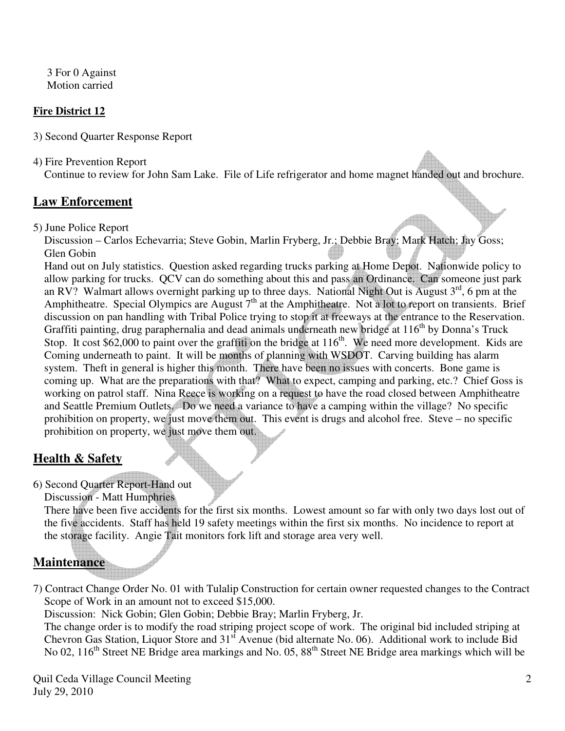3 For 0 Against Motion carried

#### **Fire District 12**

3) Second Quarter Response Report

4) Fire Prevention Report

Continue to review for John Sam Lake. File of Life refrigerator and home magnet handed out and brochure.

### **Law Enforcement**

5) June Police Report

 Discussion – Carlos Echevarria; Steve Gobin, Marlin Fryberg, Jr.; Debbie Bray; Mark Hatch; Jay Goss; Glen Gobin

 Hand out on July statistics. Question asked regarding trucks parking at Home Depot. Nationwide policy to allow parking for trucks. QCV can do something about this and pass an Ordinance. Can someone just park an RV? Walmart allows overnight parking up to three days. National Night Out is August  $3<sup>rd</sup>$ , 6 pm at the Amphitheatre. Special Olympics are August 7<sup>th</sup> at the Amphitheatre. Not a lot to report on transients. Brief discussion on pan handling with Tribal Police trying to stop it at freeways at the entrance to the Reservation. Graffiti painting, drug paraphernalia and dead animals underneath new bridge at  $116<sup>th</sup>$  by Donna's Truck Stop. It cost \$62,000 to paint over the graffiti on the bridge at  $116<sup>th</sup>$ . We need more development. Kids are Coming underneath to paint. It will be months of planning with WSDOT. Carving building has alarm system. Theft in general is higher this month. There have been no issues with concerts. Bone game is coming up. What are the preparations with that? What to expect, camping and parking, etc.? Chief Goss is working on patrol staff. Nina Reece is working on a request to have the road closed between Amphitheatre and Seattle Premium Outlets. Do we need a variance to have a camping within the village? No specific prohibition on property, we just move them out. This event is drugs and alcohol free. Steve – no specific prohibition on property, we just move them out.

## **Health & Safety**

6) Second Quarter Report-Hand out

Discussion - Matt Humphries

 There have been five accidents for the first six months. Lowest amount so far with only two days lost out of the five accidents. Staff has held 19 safety meetings within the first six months. No incidence to report at the storage facility. Angie Tait monitors fork lift and storage area very well.

## **Maintenance**

7) Contract Change Order No. 01 with Tulalip Construction for certain owner requested changes to the Contract Scope of Work in an amount not to exceed \$15,000.

Discussion: Nick Gobin; Glen Gobin; Debbie Bray; Marlin Fryberg, Jr.

 The change order is to modify the road striping project scope of work. The original bid included striping at Chevron Gas Station, Liquor Store and 31<sup>st</sup> Avenue (bid alternate No. 06). Additional work to include Bid No 02, 116<sup>th</sup> Street NE Bridge area markings and No. 05, 88<sup>th</sup> Street NE Bridge area markings which will be

Quil Ceda Village Council Meeting July 29, 2010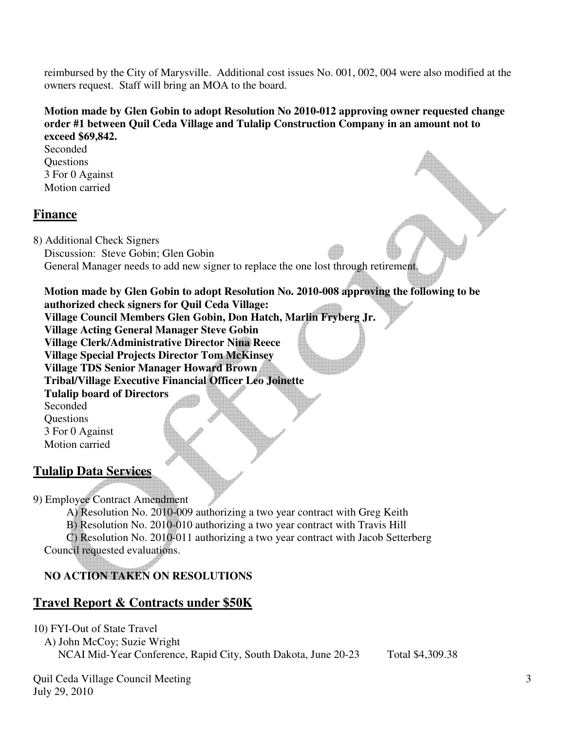reimbursed by the City of Marysville. Additional cost issues No. 001, 002, 004 were also modified at the owners request. Staff will bring an MOA to the board.

#### **Motion made by Glen Gobin to adopt Resolution No 2010-012 approving owner requested change order #1 between Quil Ceda Village and Tulalip Construction Company in an amount not to exceed \$69,842.**

Seconded **Questions**  3 For 0 Against Motion carried

## **Finance**

8) Additional Check Signers Discussion: Steve Gobin; Glen Gobin General Manager needs to add new signer to replace the one lost through retirement.

 **Motion made by Glen Gobin to adopt Resolution No. 2010-008 approving the following to be authorized check signers for Quil Ceda Village: Village Council Members Glen Gobin, Don Hatch, Marlin Fryberg Jr. Village Acting General Manager Steve Gobin** 

 **Village Clerk/Administrative Director Nina Reece** 

 **Village Special Projects Director Tom McKinsey** 

 **Village TDS Senior Manager Howard Brown** 

 **Tribal/Village Executive Financial Officer Leo Joinette** 

 **Tulalip board of Directors**  Seconded **Ouestions**  3 For 0 Against Motion carried

**Tulalip Data Services**

9) Employee Contract Amendment

 A) Resolution No. 2010-009 authorizing a two year contract with Greg Keith B) Resolution No. 2010-010 authorizing a two year contract with Travis Hill C) Resolution No. 2010-011 authorizing a two year contract with Jacob Setterberg Council requested evaluations.

## **NO ACTION TAKEN ON RESOLUTIONS**

## **Travel Report & Contracts under \$50K**

10) FYI-Out of State Travel

 A) John McCoy; Suzie Wright NCAI Mid-Year Conference, Rapid City, South Dakota, June 20-23 Total \$4,309.38